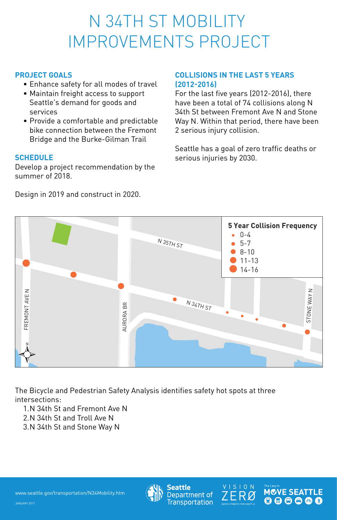- Enhance safety for all modes of travel
- Maintain freight access to support Seattle's demand for goods and services
- Provide a comfortable and predictable bike connection between the Fremont Bridge and the Burke-Gilman Trail )le<br>nt<br><sup>Ie</sup>

# N 34TH ST MOBILITY IMPROVEMENTS PROJECT TUBILITY<br>SPROJI IMPRON<br>ALS<br>safety for all m<br>freight access to<br>demand for goods

#### **PROJECT GOALS**

Develop a project recommendation by the summer of 2018. SCI<br>Dev<br>De:<br>De:

For the last five years (2012-2016), there have been a total of 74 collisions along N 34th St between Fremont Ave N and Stone Way N. Within that period, there have been 2 serious injury collision. 34tl<br>*N*ay<br>2 sea<br>seri )12<br>d. Ald, tl<br>otr

#### **SCHEDULE**

Seattle has a goal of zero traffic deaths or serious injuries by 2030. oal<br>s b<sub>)</sub>

#### Design in 2019 and construct in 2020.

1. N 34th St and Fremont Ave N 2. N 34th St and Troll Ave N : Av<br>, N<br>ay l

### **COLLISIONS IN THE LAST 5 YEARS (2012-2016)**

The Bicycle and Pedestrian Safety Analysis identifies safety hot spots at three intersections:

3. N 34th St and Stone Way N



www.seattle.gov/transportation/N34Mobility.htm







JANUARY 2017